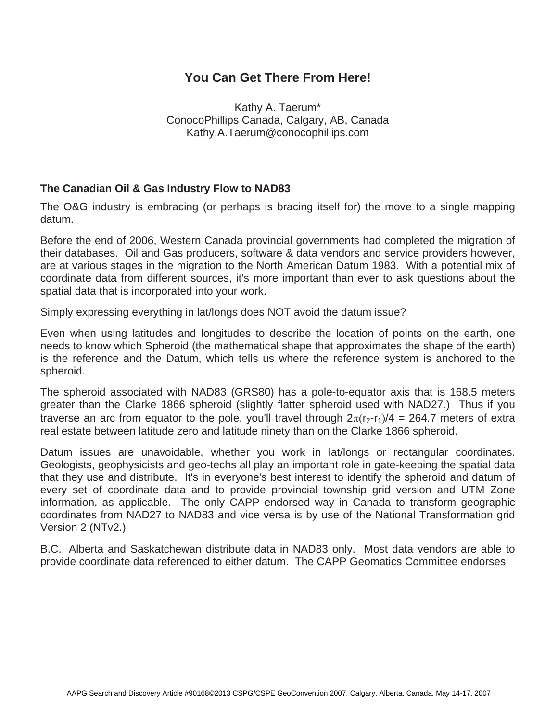## **You Can Get There From Here!**

Kathy A. Taerum\* ConocoPhillips Canada, Calgary, AB, Canada Kathy.A.Taerum@conocophillips.com

## **The Canadian Oil & Gas Industry Flow to NAD83**

The O&G industry is embracing (or perhaps is bracing itself for) the move to a single mapping datum.

Before the end of 2006, Western Canada provincial governments had completed the migration of their databases. Oil and Gas producers, software & data vendors and service providers however, are at various stages in the migration to the North American Datum 1983. With a potential mix of coordinate data from different sources, it's more important than ever to ask questions about the spatial data that is incorporated into your work.

Simply expressing everything in lat/longs does NOT avoid the datum issue?

Even when using latitudes and longitudes to describe the location of points on the earth, one needs to know which Spheroid (the mathematical shape that approximates the shape of the earth) is the reference and the Datum, which tells us where the reference system is anchored to the spheroid.

The spheroid associated with NAD83 (GRS80) has a pole-to-equator axis that is 168.5 meters greater than the Clarke 1866 spheroid (slightly flatter spheroid used with NAD27.) Thus if you traverse an arc from equator to the pole, you'll travel through  $2\pi(r_2-r_1)/4 = 264.7$  meters of extra real estate between latitude zero and latitude ninety than on the Clarke 1866 spheroid.

Datum issues are unavoidable, whether you work in lat/longs or rectangular coordinates. Geologists, geophysicists and geo-techs all play an important role in gate-keeping the spatial data that they use and distribute. It's in everyone's best interest to identify the spheroid and datum of every set of coordinate data and to provide provincial township grid version and UTM Zone information, as applicable. The only CAPP endorsed way in Canada to transform geographic coordinates from NAD27 to NAD83 and vice versa is by use of the National Transformation grid Version 2 (NTv2.)

B.C., Alberta and Saskatchewan distribute data in NAD83 only. Most data vendors are able to provide coordinate data referenced to either datum. The CAPP Geomatics Committee endorses